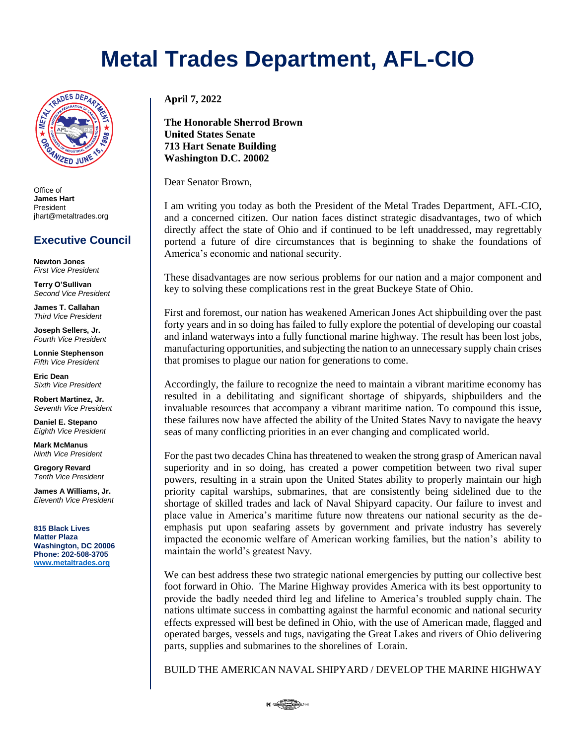## **Metal Trades Department, AFL-CIO**



Office of **James Hart** President jhart@metaltrades.org

## **Executive Council**

**Newton Jones** *First Vice President*

**Terry O'Sullivan** *Second Vice President*

**James T. Callahan** *Third Vice President*

**Joseph Sellers, Jr.** *Fourth Vice President*

**Lonnie Stephenson** *Fifth Vice President*

**Eric Dean** *Sixth Vice President*

**Robert Martinez, Jr.** *Seventh Vice President*

**Daniel E. Stepano** *Eighth Vice President*

**Mark McManus** *Ninth Vice President*

**Gregory Revard** *Tenth Vice President*

**James A Williams, Jr.** *Eleventh Vice President*

**815 Black Lives Matter Plaza Washington, DC 20006 Phone: 202-508-3705 [www.metaltrades.org](http://www.metaltrades.org/)**

**April 7, 2022**

**The Honorable Sherrod Brown United States Senate 713 Hart Senate Building Washington D.C. 20002**

Dear Senator Brown,

I am writing you today as both the President of the Metal Trades Department, AFL-CIO, and a concerned citizen. Our nation faces distinct strategic disadvantages, two of which directly affect the state of Ohio and if continued to be left unaddressed, may regrettably portend a future of dire circumstances that is beginning to shake the foundations of America's economic and national security.

These disadvantages are now serious problems for our nation and a major component and key to solving these complications rest in the great Buckeye State of Ohio.

First and foremost, our nation has weakened American Jones Act shipbuilding over the past forty years and in so doing has failed to fully explore the potential of developing our coastal and inland waterways into a fully functional marine highway. The result has been lost jobs, manufacturing opportunities, and subjecting the nation to an unnecessary supply chain crises that promises to plague our nation for generations to come.

Accordingly, the failure to recognize the need to maintain a vibrant maritime economy has resulted in a debilitating and significant shortage of shipyards, shipbuilders and the invaluable resources that accompany a vibrant maritime nation. To compound this issue, these failures now have affected the ability of the United States Navy to navigate the heavy seas of many conflicting priorities in an ever changing and complicated world.

For the past two decades China has threatened to weaken the strong grasp of American naval superiority and in so doing, has created a power competition between two rival super powers, resulting in a strain upon the United States ability to properly maintain our high priority capital warships, submarines, that are consistently being sidelined due to the shortage of skilled trades and lack of Naval Shipyard capacity. Our failure to invest and place value in America's maritime future now threatens our national security as the deemphasis put upon seafaring assets by government and private industry has severely impacted the economic welfare of American working families, but the nation's ability to maintain the world's greatest Navy.

We can best address these two strategic national emergencies by putting our collective best foot forward in Ohio. The Marine Highway provides America with its best opportunity to provide the badly needed third leg and lifeline to America's troubled supply chain. The nations ultimate success in combatting against the harmful economic and national security effects expressed will best be defined in Ohio, with the use of American made, flagged and operated barges, vessels and tugs, navigating the Great Lakes and rivers of Ohio delivering parts, supplies and submarines to the shorelines of Lorain.

BUILD THE AMERICAN NAVAL SHIPYARD / DEVELOP THE MARINE HIGHWAY